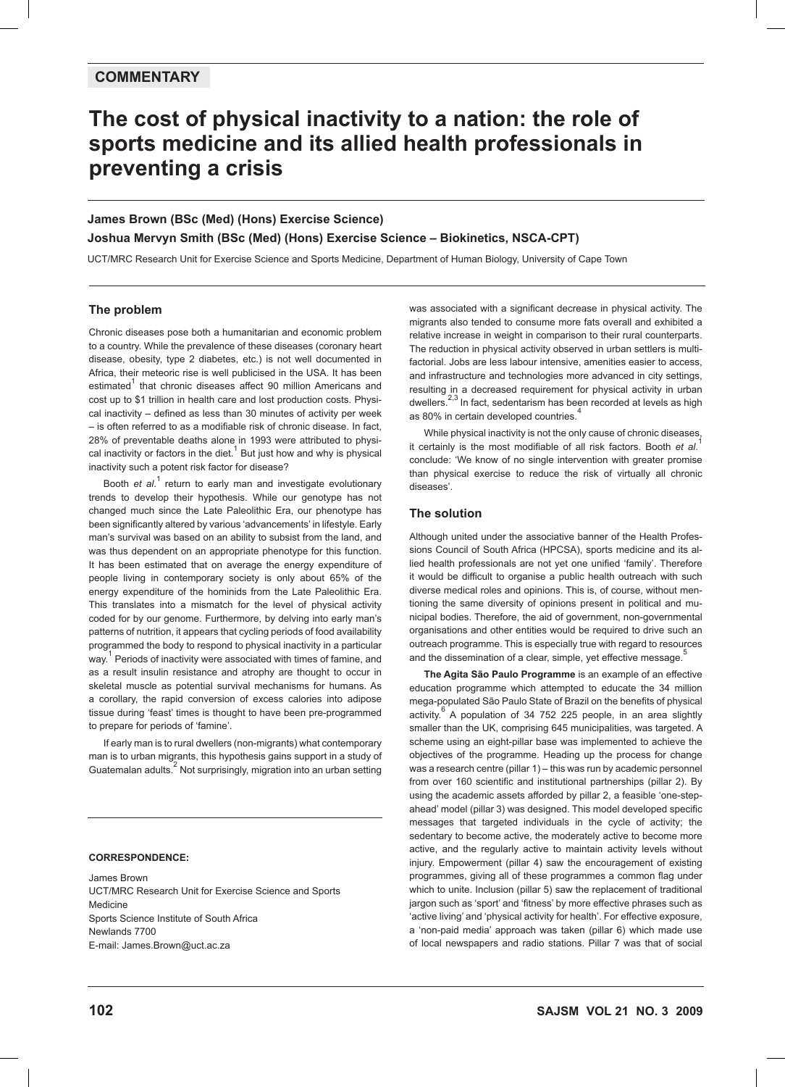## **COMMENTARY**

# **The cost of physical inactivity to a nation: the role of sports medicine and its allied health professionals in preventing a crisis**

# **James Brown (BSc (Med) (Hons) Exercise Science) Joshua Mervyn Smith (BSc (Med) (Hons) Exercise Science – Biokinetics, NSCA-CPT)**

UCT/MRC Research Unit for Exercise Science and Sports Medicine, Department of Human Biology, University of Cape Town

## **The problem**

Chronic diseases pose both a humanitarian and economic problem to a country. While the prevalence of these diseases (coronary heart disease, obesity, type 2 diabetes, etc.) is not well documented in Africa, their meteoric rise is well publicised in the USA. It has been estimated<sup>1</sup> that chronic diseases affect 90 million Americans and cost up to \$1 trillion in health care and lost production costs. Physical inactivity – defined as less than 30 minutes of activity per week – is often referred to as a modifiable risk of chronic disease. In fact, 28% of preventable deaths alone in 1993 were attributed to physical inactivity or factors in the diet.<sup>1</sup> But just how and why is physical inactivity such a potent risk factor for disease?

Booth *et al.*<sup>1</sup> return to early man and investigate evolutionary trends to develop their hypothesis. While our genotype has not changed much since the Late Paleolithic Era, our phenotype has been significantly altered by various 'advancements' in lifestyle. Early man's survival was based on an ability to subsist from the land, and was thus dependent on an appropriate phenotype for this function. It has been estimated that on average the energy expenditure of people living in contemporary society is only about 65% of the energy expenditure of the hominids from the Late Paleolithic Era. This translates into a mismatch for the level of physical activity coded for by our genome. Furthermore, by delving into early man's patterns of nutrition, it appears that cycling periods of food availability programmed the body to respond to physical inactivity in a particular  $w$ <sub>way.</sub><sup>1</sup> Periods of inactivity were associated with times of famine, and as a result insulin resistance and atrophy are thought to occur in skeletal muscle as potential survival mechanisms for humans. As a corollary, the rapid conversion of excess calories into adipose tissue during 'feast' times is thought to have been pre-programmed to prepare for periods of 'famine'.

If early man is to rural dwellers (non-migrants) what contemporary man is to urban migrants, this hypothesis gains support in a study of Guatemalan adults.<sup>2</sup> Not surprisingly, migration into an urban setting

#### **CORRESPONDENCE:**

James Brown UCT/MRC Research Unit for Exercise Science and Sports Medicine Sports Science Institute of South Africa Newlands 7700 E-mail: James.Brown@uct.ac.za

was associated with a significant decrease in physical activity. The migrants also tended to consume more fats overall and exhibited a relative increase in weight in comparison to their rural counterparts. The reduction in physical activity observed in urban settlers is multifactorial. Jobs are less labour intensive, amenities easier to access, and infrastructure and technologies more advanced in city settings, resulting in a decreased requirement for physical activity in urban dwellers. $2,3$  In fact, sedentarism has been recorded at levels as high as 80% in certain developed countries.

While physical inactivity is not the only cause of chronic diseases, it certainly is the most modifiable of all risk factors. Booth *et al*. 1 conclude: 'We know of no single intervention with greater promise than physical exercise to reduce the risk of virtually all chronic diseases'.

## **The solution**

Although united under the associative banner of the Health Professions Council of South Africa (HPCSA), sports medicine and its allied health professionals are not yet one unified 'family'. Therefore it would be difficult to organise a public health outreach with such diverse medical roles and opinions. This is, of course, without mentioning the same diversity of opinions present in political and municipal bodies. Therefore, the aid of government, non-governmental organisations and other entities would be required to drive such an outreach programme. This is especially true with regard to resources and the dissemination of a clear, simple, yet effective message.

**The Agita São Paulo Programme** is an example of an effective education programme which attempted to educate the 34 million mega-populated São Paulo State of Brazil on the benefits of physical activity.<sup>6</sup> A population of 34 752 225 people, in an area slightly smaller than the UK, comprising 645 municipalities, was targeted. A scheme using an eight-pillar base was implemented to achieve the objectives of the programme. Heading up the process for change was a research centre (pillar 1) – this was run by academic personnel from over 160 scientific and institutional partnerships (pillar 2). By using the academic assets afforded by pillar 2, a feasible 'one-stepahead' model (pillar 3) was designed. This model developed specific messages that targeted individuals in the cycle of activity; the sedentary to become active, the moderately active to become more active, and the regularly active to maintain activity levels without injury. Empowerment (pillar 4) saw the encouragement of existing programmes, giving all of these programmes a common flag under which to unite. Inclusion (pillar 5) saw the replacement of traditional jargon such as 'sport' and 'fitness' by more effective phrases such as 'active living' and 'physical activity for health'. For effective exposure, a 'non-paid media' approach was taken (pillar 6) which made use of local newspapers and radio stations. Pillar 7 was that of social